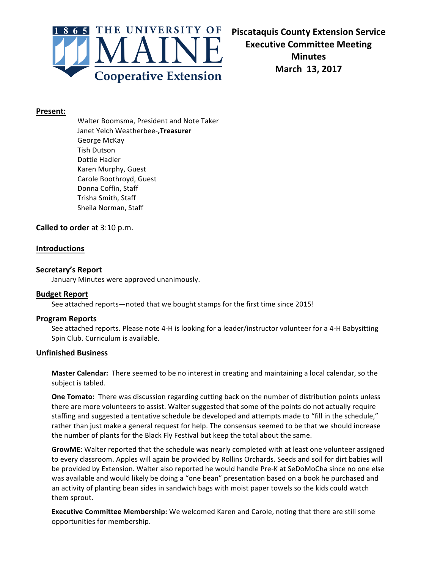

### **Present:**

Walter Boomsma, President and Note Taker Janet Yelch Weatherbee-**,Treasurer** George McKay Tish Dutson Dottie Hadler Karen Murphy, Guest Carole Boothroyd, Guest Donna Coffin, Staff Trisha Smith, Staff Sheila Norman, Staff

# **Called to order** at 3:10 p.m.

# **Introductions**

### **Secretary's Report**

January Minutes were approved unanimously.

## **Budget Report**

See attached reports-noted that we bought stamps for the first time since 2015!

### **Program Reports**

See attached reports. Please note 4-H is looking for a leader/instructor volunteer for a 4-H Babysitting Spin Club. Curriculum is available.

# **Unfinished Business**

**Master Calendar:** There seemed to be no interest in creating and maintaining a local calendar, so the subject is tabled.

**One Tomato:** There was discussion regarding cutting back on the number of distribution points unless there are more volunteers to assist. Walter suggested that some of the points do not actually require staffing and suggested a tentative schedule be developed and attempts made to "fill in the schedule," rather than just make a general request for help. The consensus seemed to be that we should increase the number of plants for the Black Fly Festival but keep the total about the same.

**GrowME**: Walter reported that the schedule was nearly completed with at least one volunteer assigned to every classroom. Apples will again be provided by Rollins Orchards. Seeds and soil for dirt babies will be provided by Extension. Walter also reported he would handle Pre-K at SeDoMoCha since no one else was available and would likely be doing a "one bean" presentation based on a book he purchased and an activity of planting bean sides in sandwich bags with moist paper towels so the kids could watch them sprout.

**Executive Committee Membership:** We welcomed Karen and Carole, noting that there are still some opportunities for membership.